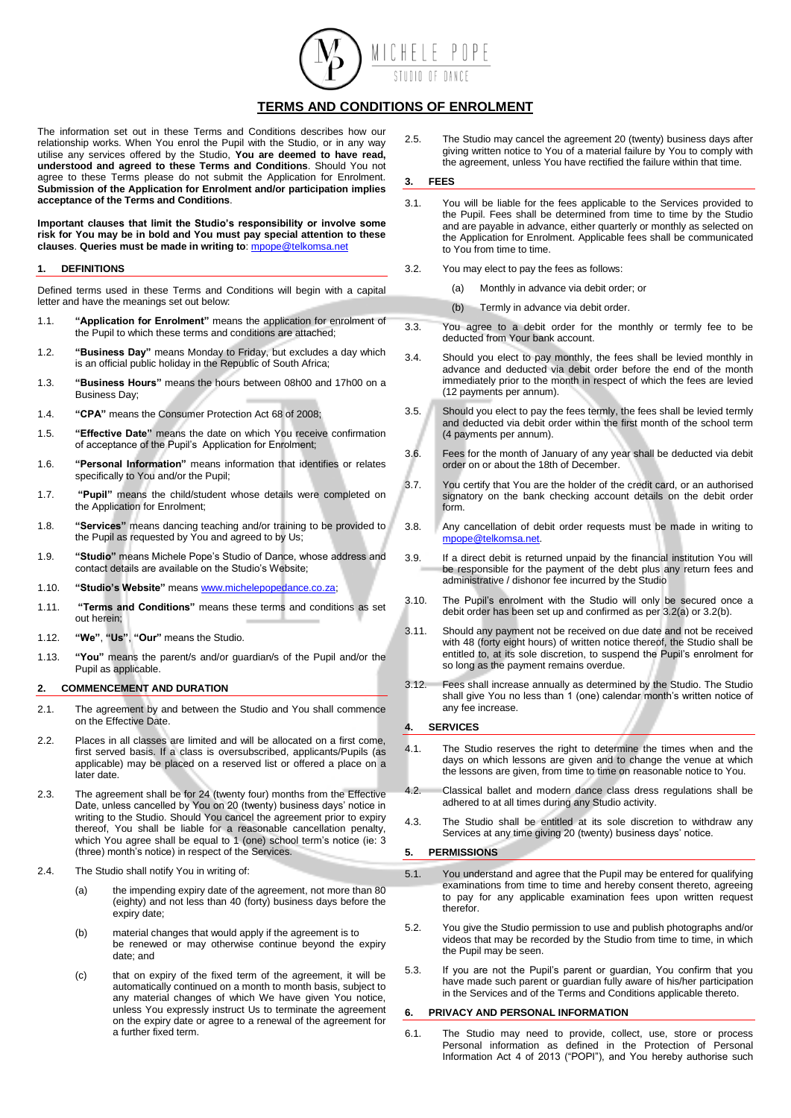

# **TERMS AND CONDITIONS OF ENROLMENT**

The information set out in these Terms and Conditions describes how our relationship works. When You enrol the Pupil with the Studio, or in any way utilise any services offered by the Studio, **You are deemed to have read, understood and agreed to these Terms and Conditions**. Should You not agree to these Terms please do not submit the Application for Enrolment. **Submission of the Application for Enrolment and/or participation implies acceptance of the Terms and Conditions**.

**Important clauses that limit the Studio's responsibility or involve some risk for You may be in bold and You must pay special attention to these clauses**. **Queries must be made in writing to**[: mpope@telkomsa.net](mailto:mpope@telkomsa.net)

# **1. DEFINITIONS**

Defined terms used in these Terms and Conditions will begin with a capital letter and have the meanings set out below:

- 1.1. **"Application for Enrolment"** means the application for enrolment of the Pupil to which these terms and conditions are attached;
- 1.2. **"Business Day"** means Monday to Friday, but excludes a day which is an official public holiday in the Republic of South Africa;
- 1.3. **"Business Hours"** means the hours between 08h00 and 17h00 on a Business Day;
- 1.4. **"CPA"** means the Consumer Protection Act 68 of 2008;
- 1.5. **"Effective Date"** means the date on which You receive confirmation of acceptance of the Pupil's Application for Enrolment;
- 1.6. **"Personal Information"** means information that identifies or relates specifically to You and/or the Pupil;
- 1.7. **"Pupil"** means the child/student whose details were completed on the Application for Enrolment;
- 1.8. **"Services"** means dancing teaching and/or training to be provided to the Pupil as requested by You and agreed to by Us;
- 1.9. **"Studio"** means Michele Pope's Studio of Dance, whose address and contact details are available on the Studio's Website;
- 1.10. **"Studio's Website"** mean[s www.michelepopedance.co.za;](http://www.michelepopedance.co.za/)
- 1.11. **"Terms and Conditions"** means these terms and conditions as set out herein;
- 1.12. **"We"**, **"Us"**, **"Our"** means the Studio.
- 1.13. **"You"** means the parent/s and/or guardian/s of the Pupil and/or the Pupil as applicable.

### **2. COMMENCEMENT AND DURATION**

- 2.1. The agreement by and between the Studio and You shall commence on the Effective Date.
- 2.2. Places in all classes are limited and will be allocated on a first come, first served basis. If a class is oversubscribed, applicants/Pupils (as applicable) may be placed on a reserved list or offered a place on a later date.
- 2.3. The agreement shall be for 24 (twenty four) months from the Effective Date, unless cancelled by You on 20 (twenty) business days' notice in writing to the Studio. Should You cancel the agreement prior to expiry thereof, You shall be liable for a reasonable cancellation penalty, which You agree shall be equal to 1 (one) school term's notice (ie: 3 (three) month's notice) in respect of the Services.
- 2.4. The Studio shall notify You in writing of:
	- (a) the impending expiry date of the agreement, not more than 80 (eighty) and not less than 40 (forty) business days before the expiry date;
	- (b) material changes that would apply if the agreement is to be renewed or may otherwise continue beyond the expiry date; and
	- (c) that on expiry of the fixed term of the agreement, it will be automatically continued on a month to month basis, subject to any material changes of which We have given You notice, unless You expressly instruct Us to terminate the agreement on the expiry date or agree to a renewal of the agreement for a further fixed term.

2.5. The Studio may cancel the agreement 20 (twenty) business days after giving written notice to You of a material failure by You to comply with the agreement, unless You have rectified the failure within that time.

### **3. FEES**

- 3.1. You will be liable for the fees applicable to the Services provided to the Pupil. Fees shall be determined from time to time by the Studio and are payable in advance, either quarterly or monthly as selected on the Application for Enrolment. Applicable fees shall be communicated to You from time to time.
- 3.2. You may elect to pay the fees as follows:
	- (a) Monthly in advance via debit order; or
	- (b) Termly in advance via debit order.
- 3.3. You agree to a debit order for the monthly or termly fee to be deducted from Your bank account.
- 3.4. Should you elect to pay monthly, the fees shall be levied monthly in advance and deducted via debit order before the end of the month immediately prior to the month in respect of which the fees are levied (12 payments per annum).
- 3.5. Should you elect to pay the fees termly, the fees shall be levied termly and deducted via debit order within the first month of the school term (4 payments per annum).
- 3.6. Fees for the month of January of any year shall be deducted via debit order on or about the 18th of December.
- 3.7. You certify that You are the holder of the credit card, or an authorised signatory on the bank checking account details on the debit order form.
- 3.8. Any cancellation of debit order requests must be made in writing to [mpope@telkomsa.net.](mailto:mpope@telkomsa.net)
- 3.9. If a direct debit is returned unpaid by the financial institution You will be responsible for the payment of the debt plus any return fees and administrative / dishonor fee incurred by the Studio
- 3.10. The Pupil's enrolment with the Studio will only be secured once a debit order has been set up and confirmed as per 3.2(a) or 3.2(b).
- 3.11. Should any payment not be received on due date and not be received with 48 (forty eight hours) of written notice thereof, the Studio shall be entitled to, at its sole discretion, to suspend the Pupil's enrolment for so long as the payment remains overdue.
- 3.12. Fees shall increase annually as determined by the Studio. The Studio shall give You no less than 1 (one) calendar month's written notice of any fee increase.

### **4. SERVICES**

- 4.1. The Studio reserves the right to determine the times when and the days on which lessons are given and to change the venue at which the lessons are given, from time to time on reasonable notice to You.
- 4.2. Classical ballet and modern dance class dress regulations shall be adhered to at all times during any Studio activity.
- 4.3. The Studio shall be entitled at its sole discretion to withdraw any Services at any time giving 20 (twenty) business days' notice.

#### **5. PERMISSIONS**

- 5.1. You understand and agree that the Pupil may be entered for qualifying examinations from time to time and hereby consent thereto, agreeing to pay for any applicable examination fees upon written request therefor.
- 5.2. You give the Studio permission to use and publish photographs and/or videos that may be recorded by the Studio from time to time, in which the Pupil may be seen.
- 5.3. If you are not the Pupil's parent or guardian, You confirm that you have made such parent or guardian fully aware of his/her participation in the Services and of the Terms and Conditions applicable thereto.

#### **6. PRIVACY AND PERSONAL INFORMATION**

6.1. The Studio may need to provide, collect, use, store or process Personal information as defined in the Protection of Personal Information Act 4 of 2013 ("POPI"), and You hereby authorise such